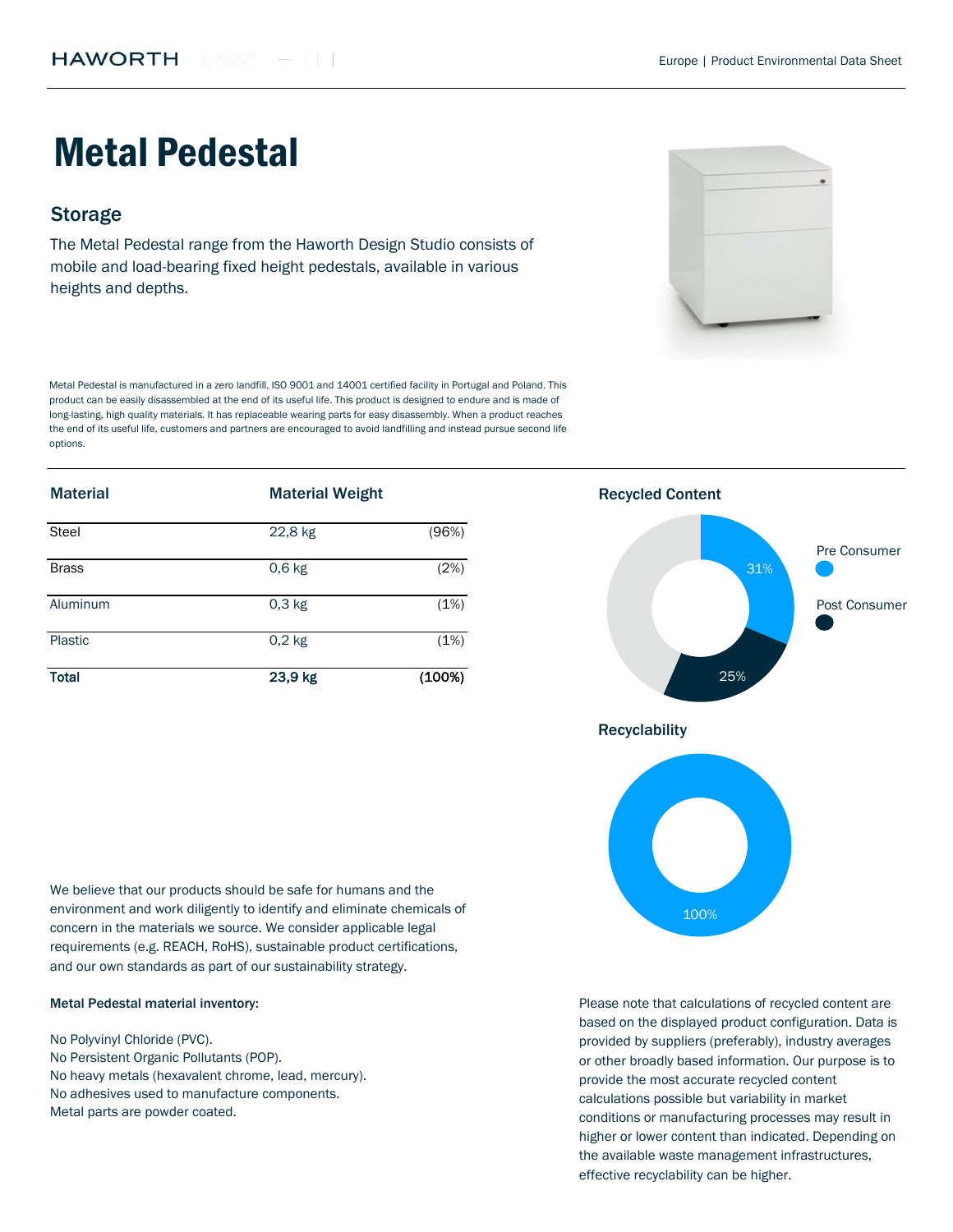# Metal Pedestal

# **Storage**

The Metal Pedestal range from the Haworth Design Studio consists of mobile and load-bearing fixed height pedestals, available in various heights and depths.

Metal Pedestal is manufactured in a zero landfill, ISO 9001 and 14001 certified facility in Portugal and Poland. This product can be easily disassembled at the end of its useful life. This product is designed to endure and is made of long-lasting, high quality materials. It has replaceable wearing parts for easy disassembly. When a product reaches the end of its useful life, customers and partners are encouraged to avoid landfilling and instead pursue second life options.

| <b>Material</b> | <b>Material Weight</b> |        | <b>Recycled Content</b> |               |
|-----------------|------------------------|--------|-------------------------|---------------|
| Steel           | 22,8 kg                | (96%)  |                         |               |
| <b>Brass</b>    | $0,6$ kg               | (2%)   | 31%                     | Pre Consumer  |
| Aluminum        | $0,3$ kg               | (1%)   |                         | Post Consumer |
| Plastic         | $0,2$ kg               | (1%)   |                         |               |
| <b>Total</b>    | 23,9 kg                | (100%) | 25%                     |               |

We believe that our products should be safe for humans and the environment and work diligently to identify and eliminate chemicals of concern in the materials we source. We consider applicable legal requirements (e.g. REACH, RoHS), sustainable product certifications, and our own standards as part of our sustainability strategy.

#### Metal Pedestal material inventory:

Metal parts are powder coated. No Polyvinyl Chloride (PVC). No Persistent Organic Pollutants (POP). No heavy metals (hexavalent chrome, lead, mercury). No adhesives used to manufacture components.



Please note that calculations of recycled content are based on the displayed product configuration. Data is provided by suppliers (preferably), industry averages or other broadly based information. Our purpose is to provide the most accurate recycled content calculations possible but variability in market conditions or manufacturing processes may result in higher or lower content than indicated. Depending on the available waste management infrastructures, effective recyclability can be higher.